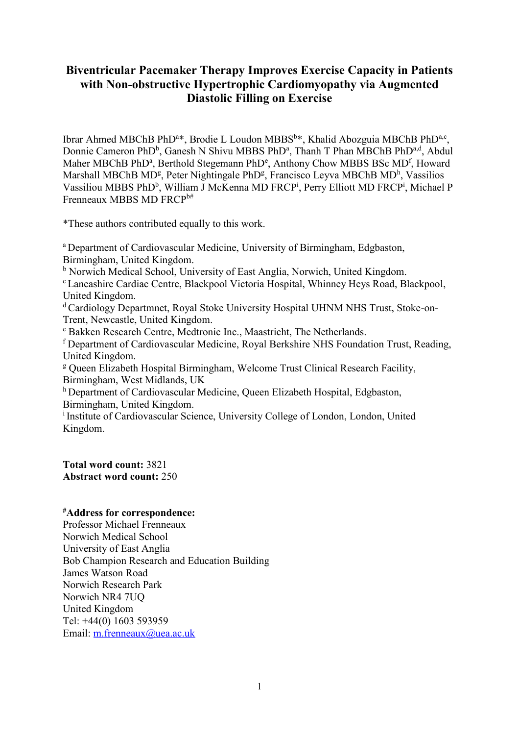## **Biventricular Pacemaker Therapy Improves Exercise Capacity in Patients with Non-obstructive Hypertrophic Cardiomyopathy via Augmented Diastolic Filling on Exercise**

Ibrar Ahmed MBChB PhD<sup>a\*</sup>, Brodie L Loudon MBBS<sup>b\*</sup>, Khalid Abozguia MBChB PhD<sup>a,c</sup>, Donnie Cameron PhD<sup>b</sup>, Ganesh N Shivu MBBS PhD<sup>a</sup>, Thanh T Phan MBChB PhD<sup>a,d</sup>, Abdul Maher MBChB PhD<sup>a</sup>, Berthold Stegemann PhD<sup>e</sup>, Anthony Chow MBBS BSc MD<sup>f</sup>, Howard Marshall MBChB MD<sup>[g](http://www.sciencedirect.com.ezproxyd.bham.ac.uk/science/article/pii/S0735109709016453?np=y#aff3)</sup>, Peter Nig[h](http://www.sciencedirect.com.ezproxyd.bham.ac.uk/science/article/pii/S0735109709016453?np=y#aff3)tingale PhD<sup>g</sup>, Francisco Leyva MBChB MD<sup>h</sup>, Vassilios Vassiliou MBBS PhD<sup>b</sup>, William J McKenna MD FRCP<sup>i</sup>, Perry Elliott MD FRCP<sup>i</sup>, Michael P Frenneaux MBBS MD FRCPb#

\*These authors contributed equally to this work.

<sup>a</sup> Department of Cardiovascular Medicine, University of Birmingham, Edgbaston, Birmingham, United Kingdom.

<sup>b</sup> Norwich Medical School, University of East Anglia, Norwich, United Kingdom.

<sup>c</sup> Lancashire Cardiac Centre, Blackpool Victoria Hospital, Whinney Heys Road, Blackpool, United Kingdom.

<sup>d</sup> Cardiology Departmnet, Royal Stoke University Hospital UHNM NHS Trust, Stoke-on-Trent, Newcastle, United Kingdom.

<sup>e</sup> Bakken Research Centre, Medtronic Inc., Maastricht, The Netherlands.

<sup>f</sup> Department of Cardiovascular Medicine, Royal Berkshire NHS Foundation Trust, Reading, United Kingdom.

<sup>g</sup> Queen Elizabeth Hospital Birmingham, Welcome Trust Clinical Research Facility, Birmingham, West Midlands, UK

[h](http://www.sciencedirect.com.ezproxyd.bham.ac.uk/science/article/pii/S0735109709016453?np=y#aff3) Department of Cardiovascular Medicine, Queen Elizabeth Hospital, Edgbaston, Birmingham, United Kingdom.

i Institute of Cardiovascular Science, University College of London, London, United Kingdom.

**Total word count:** 3821 **Abstract word count:** 250

## **#Address for correspondence:**

Professor Michael Frenneaux Norwich Medical School University of East Anglia Bob Champion Research and Education Building James Watson Road Norwich Research Park Norwich NR4 7UQ United Kingdom Tel: +44(0) 1603 593959 Email: [m.frenneaux@uea.ac.uk](mailto:m.frenneaux@uea.ac.uk)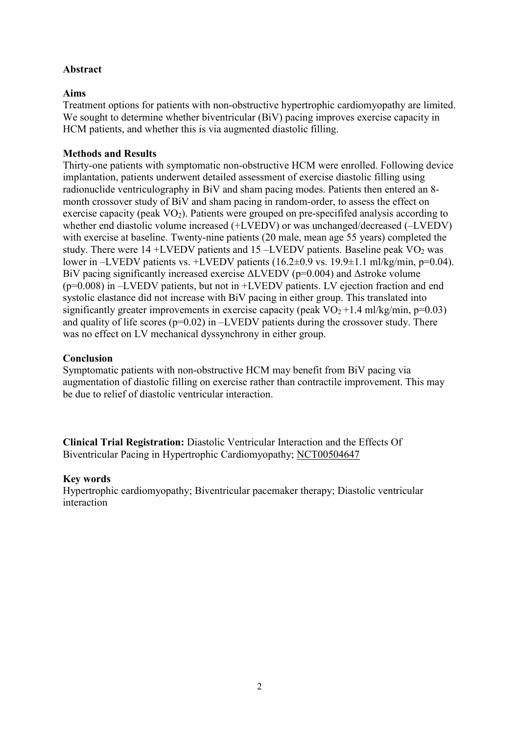## **Abstract**

## **Aims**

Treatment options for patients with non-obstructive hypertrophic cardiomyopathy are limited. We sought to determine whether biventricular (BiV) pacing improves exercise capacity in HCM patients, and whether this is via augmented diastolic filling.

## **Methods and Results**

Thirty-one patients with symptomatic non-obstructive HCM were enrolled. Following device implantation, patients underwent detailed assessment of exercise diastolic filling using radionuclide ventriculography in BiV and sham pacing modes. Patients then entered an 8 month crossover study of BiV and sham pacing in random-order, to assess the effect on exercise capacity (peak VO<sub>2</sub>). Patients were grouped on pre-specififed analysis according to whether end diastolic volume increased (+LVEDV) or was unchanged/decreased (–LVEDV) with exercise at baseline. Twenty-nine patients (20 male, mean age 55 years) completed the study. There were  $14 + LVEDV$  patients and  $15 - LVEDV$  patients. Baseline peak  $VO<sub>2</sub>$  was lower in –LVEDV patients vs. +LVEDV patients (16.2±0.9 vs. 19.9±1.1 ml/kg/min, p=0.04). BiV pacing significantly increased exercise ΔLVEDV (p=0.004) and Δstroke volume (p=0.008) in –LVEDV patients, but not in +LVEDV patients. LV ejection fraction and end systolic elastance did not increase with BiV pacing in either group. This translated into significantly greater improvements in exercise capacity (peak  $VO<sub>2</sub>+1.4$  ml/kg/min, p=0.03) and quality of life scores  $(p=0.02)$  in  $-LVEDV$  patients during the crossover study. There was no effect on LV mechanical dyssynchrony in either group.

## **Conclusion**

Symptomatic patients with non-obstructive HCM may benefit from BiV pacing via augmentation of diastolic filling on exercise rather than contractile improvement. This may be due to relief of diastolic ventricular interaction.

**Clinical Trial Registration:** Diastolic Ventricular Interaction and the Effects Of Biventricular Pacing in Hypertrophic Cardiomyopathy; NCT00504647

## **Key words**

Hypertrophic cardiomyopathy; Biventricular pacemaker therapy; Diastolic ventricular interaction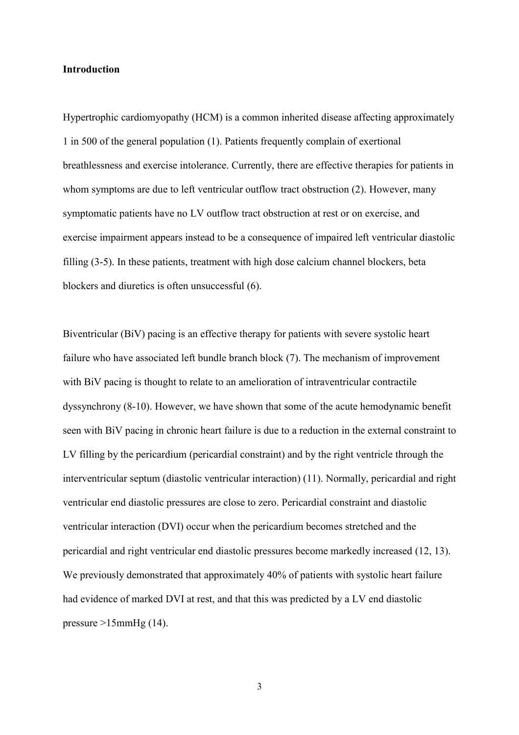#### **Introduction**

Hypertrophic cardiomyopathy (HCM) is a common inherited disease affecting approximately 1 in 500 of the general population (1). Patients frequently complain of exertional breathlessness and exercise intolerance. Currently, there are effective therapies for patients in whom symptoms are due to left ventricular outflow tract obstruction (2). However, many symptomatic patients have no LV outflow tract obstruction at rest or on exercise, and exercise impairment appears instead to be a consequence of impaired left ventricular diastolic filling (3-5). In these patients, treatment with high dose calcium channel blockers, beta blockers and diuretics is often unsuccessful (6).

Biventricular (BiV) pacing is an effective therapy for patients with severe systolic heart failure who have associated left bundle branch block (7). The mechanism of improvement with BiV pacing is thought to relate to an amelioration of intraventricular contractile dyssynchrony (8-10). However, we have shown that some of the acute hemodynamic benefit seen with BiV pacing in chronic heart failure is due to a reduction in the external constraint to LV filling by the pericardium (pericardial constraint) and by the right ventricle through the interventricular septum (diastolic ventricular interaction) (11). Normally, pericardial and right ventricular end diastolic pressures are close to zero. Pericardial constraint and diastolic ventricular interaction (DVI) occur when the pericardium becomes stretched and the pericardial and right ventricular end diastolic pressures become markedly increased (12, 13). We previously demonstrated that approximately 40% of patients with systolic heart failure had evidence of marked DVI at rest, and that this was predicted by a LV end diastolic pressure  $>15$ mmHg (14).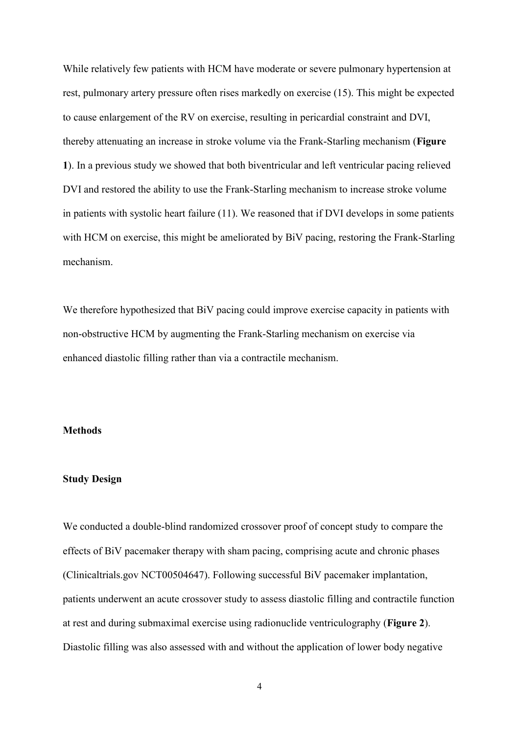While relatively few patients with HCM have moderate or severe pulmonary hypertension at rest, pulmonary artery pressure often rises markedly on exercise (15). This might be expected to cause enlargement of the RV on exercise, resulting in pericardial constraint and DVI, thereby attenuating an increase in stroke volume via the Frank-Starling mechanism (**Figure 1**). In a previous study we showed that both biventricular and left ventricular pacing relieved DVI and restored the ability to use the Frank-Starling mechanism to increase stroke volume in patients with systolic heart failure (11). We reasoned that if DVI develops in some patients with HCM on exercise, this might be ameliorated by BiV pacing, restoring the Frank-Starling mechanism.

We therefore hypothesized that BiV pacing could improve exercise capacity in patients with non-obstructive HCM by augmenting the Frank-Starling mechanism on exercise via enhanced diastolic filling rather than via a contractile mechanism.

#### **Methods**

### **Study Design**

We conducted a double-blind randomized crossover proof of concept study to compare the effects of BiV pacemaker therapy with sham pacing, comprising acute and chronic phases (Clinicaltrials.gov NCT00504647). Following successful BiV pacemaker implantation, patients underwent an acute crossover study to assess diastolic filling and contractile function at rest and during submaximal exercise using radionuclide ventriculography (**Figure 2**). Diastolic filling was also assessed with and without the application of lower body negative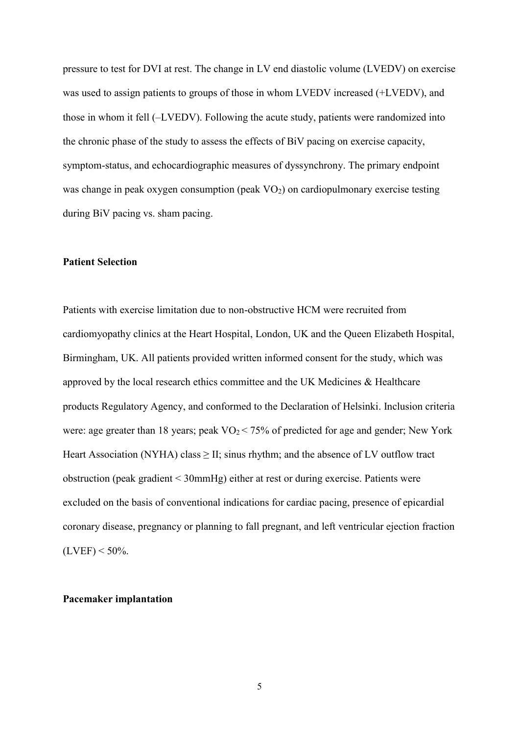pressure to test for DVI at rest. The change in LV end diastolic volume (LVEDV) on exercise was used to assign patients to groups of those in whom LVEDV increased (+LVEDV), and those in whom it fell (–LVEDV). Following the acute study, patients were randomized into the chronic phase of the study to assess the effects of BiV pacing on exercise capacity, symptom-status, and echocardiographic measures of dyssynchrony. The primary endpoint was change in peak oxygen consumption (peak VO<sub>2</sub>) on cardiopulmonary exercise testing during BiV pacing vs. sham pacing.

#### **Patient Selection**

Patients with exercise limitation due to non-obstructive HCM were recruited from cardiomyopathy clinics at the Heart Hospital, London, UK and the Queen Elizabeth Hospital, Birmingham, UK. All patients provided written informed consent for the study, which was approved by the local research ethics committee and the UK Medicines & Healthcare products Regulatory Agency, and conformed to the Declaration of Helsinki. Inclusion criteria were: age greater than 18 years; peak  $VO<sub>2</sub> < 75%$  of predicted for age and gender; New York Heart Association (NYHA) class  $\geq$  II; sinus rhythm; and the absence of LV outflow tract obstruction (peak gradient < 30mmHg) either at rest or during exercise. Patients were excluded on the basis of conventional indications for cardiac pacing, presence of epicardial coronary disease, pregnancy or planning to fall pregnant, and left ventricular ejection fraction  $(LVEF) < 50\%$ .

#### **Pacemaker implantation**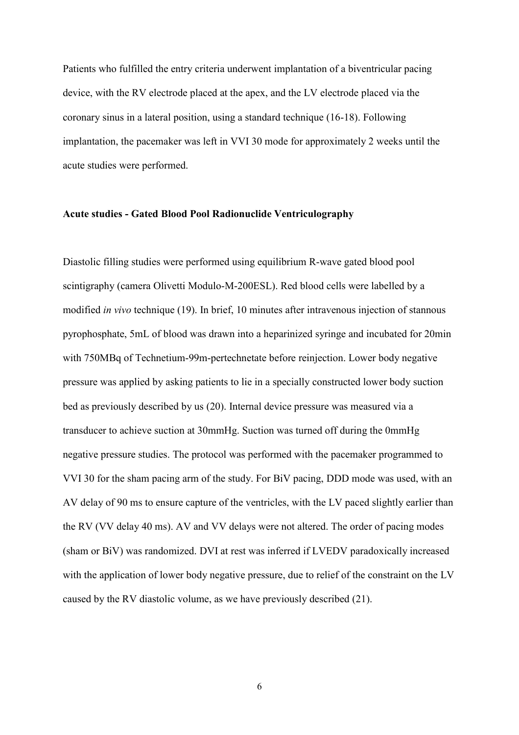Patients who fulfilled the entry criteria underwent implantation of a biventricular pacing device, with the RV electrode placed at the apex, and the LV electrode placed via the coronary sinus in a lateral position, using a standard technique (16-18). Following implantation, the pacemaker was left in VVI 30 mode for approximately 2 weeks until the acute studies were performed.

#### **Acute studies - Gated Blood Pool Radionuclide Ventriculography**

Diastolic filling studies were performed using equilibrium R-wave gated blood pool scintigraphy (camera Olivetti Modulo-M-200ESL). Red blood cells were labelled by a modified *in vivo* technique (19). In brief, 10 minutes after intravenous injection of stannous pyrophosphate, 5mL of blood was drawn into a heparinized syringe and incubated for 20min with 750MBq of Technetium-99m-pertechnetate before reinjection. Lower body negative pressure was applied by asking patients to lie in a specially constructed lower body suction bed as previously described by us (20). Internal device pressure was measured via a transducer to achieve suction at 30mmHg. Suction was turned off during the 0mmHg negative pressure studies. The protocol was performed with the pacemaker programmed to VVI 30 for the sham pacing arm of the study. For BiV pacing, DDD mode was used, with an AV delay of 90 ms to ensure capture of the ventricles, with the LV paced slightly earlier than the RV (VV delay 40 ms). AV and VV delays were not altered. The order of pacing modes (sham or BiV) was randomized. DVI at rest was inferred if LVEDV paradoxically increased with the application of lower body negative pressure, due to relief of the constraint on the LV caused by the RV diastolic volume, as we have previously described (21).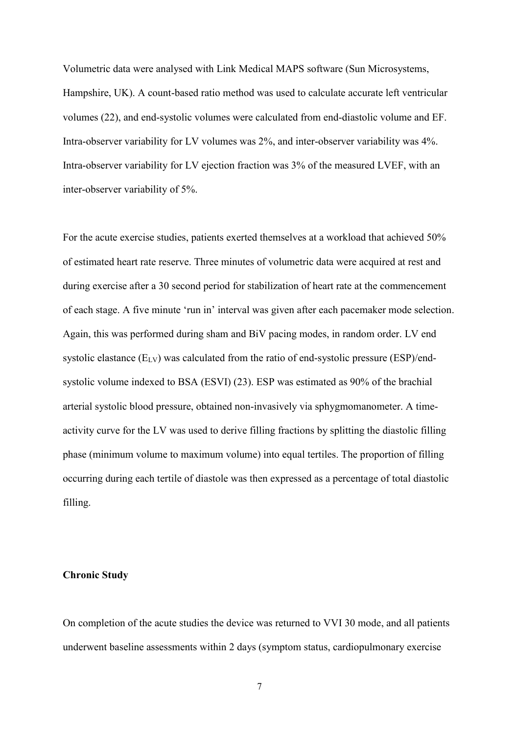Volumetric data were analysed with Link Medical MAPS software (Sun Microsystems, Hampshire, UK). A count-based ratio method was used to calculate accurate left ventricular volumes (22), and end-systolic volumes were calculated from end-diastolic volume and EF. Intra-observer variability for LV volumes was 2%, and inter-observer variability was 4%. Intra-observer variability for LV ejection fraction was 3% of the measured LVEF, with an inter-observer variability of 5%.

For the acute exercise studies, patients exerted themselves at a workload that achieved 50% of estimated heart rate reserve. Three minutes of volumetric data were acquired at rest and during exercise after a 30 second period for stabilization of heart rate at the commencement of each stage. A five minute 'run in' interval was given after each pacemaker mode selection. Again, this was performed during sham and BiV pacing modes, in random order. LV end systolic elastance  $(E_{LV})$  was calculated from the ratio of end-systolic pressure  $(ESP)/end$ systolic volume indexed to BSA (ESVI) (23). ESP was estimated as 90% of the brachial arterial systolic blood pressure, obtained non-invasively via sphygmomanometer. A timeactivity curve for the LV was used to derive filling fractions by splitting the diastolic filling phase (minimum volume to maximum volume) into equal tertiles. The proportion of filling occurring during each tertile of diastole was then expressed as a percentage of total diastolic filling.

#### **Chronic Study**

On completion of the acute studies the device was returned to VVI 30 mode, and all patients underwent baseline assessments within 2 days (symptom status, cardiopulmonary exercise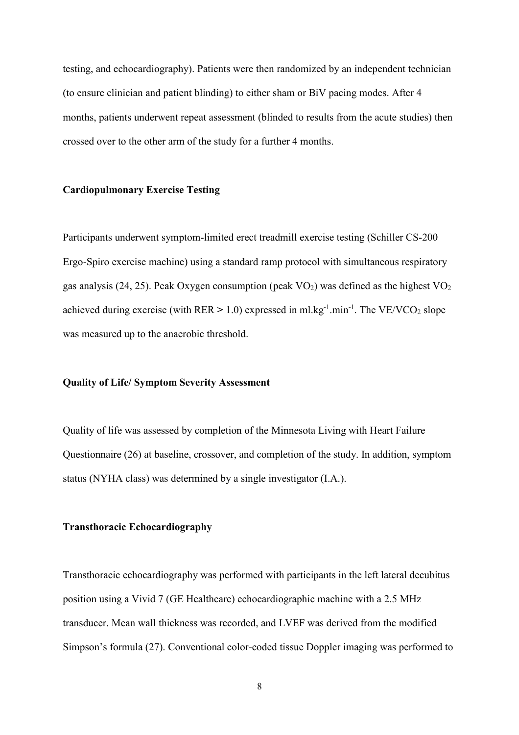testing, and echocardiography). Patients were then randomized by an independent technician (to ensure clinician and patient blinding) to either sham or BiV pacing modes. After 4 months, patients underwent repeat assessment (blinded to results from the acute studies) then crossed over to the other arm of the study for a further 4 months.

#### **Cardiopulmonary Exercise Testing**

Participants underwent symptom-limited erect treadmill exercise testing (Schiller CS-200 Ergo-Spiro exercise machine) using a standard ramp protocol with simultaneous respiratory gas analysis (24, 25). Peak Oxygen consumption (peak  $VO<sub>2</sub>$ ) was defined as the highest  $VO<sub>2</sub>$ achieved during exercise (with RER > 1.0) expressed in ml.kg<sup>-1</sup>.min<sup>-1</sup>. The VE/VCO<sub>2</sub> slope was measured up to the anaerobic threshold.

#### **Quality of Life/ Symptom Severity Assessment**

Quality of life was assessed by completion of the Minnesota Living with Heart Failure Questionnaire (26) at baseline, crossover, and completion of the study. In addition, symptom status (NYHA class) was determined by a single investigator (I.A.).

#### **Transthoracic Echocardiography**

Transthoracic echocardiography was performed with participants in the left lateral decubitus position using a Vivid 7 (GE Healthcare) echocardiographic machine with a 2.5 MHz transducer. Mean wall thickness was recorded, and LVEF was derived from the modified Simpson's formula (27). Conventional color-coded tissue Doppler imaging was performed to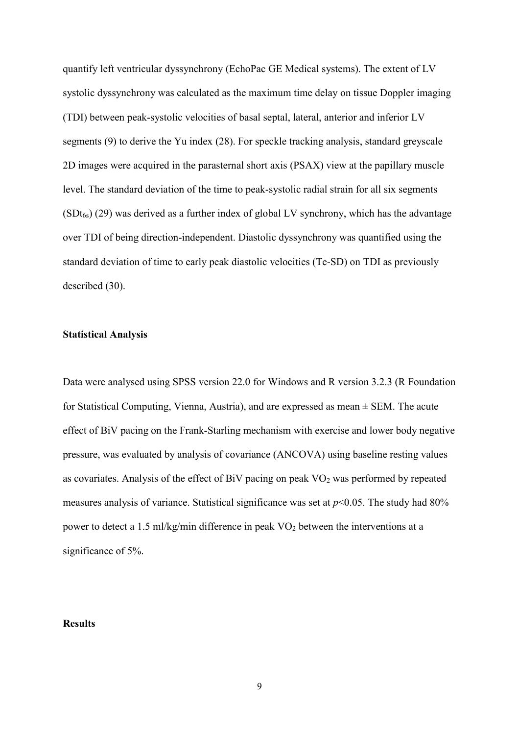quantify left ventricular dyssynchrony (EchoPac GE Medical systems). The extent of LV systolic dyssynchrony was calculated as the maximum time delay on tissue Doppler imaging (TDI) between peak-systolic velocities of basal septal, lateral, anterior and inferior LV segments (9) to derive the Yu index (28). For speckle tracking analysis, standard greyscale 2D images were acquired in the parasternal short axis (PSAX) view at the papillary muscle level. The standard deviation of the time to peak-systolic radial strain for all six segments  $(SDt_{6s})$  (29) was derived as a further index of global LV synchrony, which has the advantage over TDI of being direction-independent. Diastolic dyssynchrony was quantified using the standard deviation of time to early peak diastolic velocities (Te-SD) on TDI as previously described (30).

#### **Statistical Analysis**

Data were analysed using SPSS version 22.0 for Windows and R version 3.2.3 (R Foundation for Statistical Computing, Vienna, Austria), and are expressed as mean  $\pm$  SEM. The acute effect of BiV pacing on the Frank-Starling mechanism with exercise and lower body negative pressure, was evaluated by analysis of covariance (ANCOVA) using baseline resting values as covariates. Analysis of the effect of BiV pacing on peak VO<sub>2</sub> was performed by repeated measures analysis of variance. Statistical significance was set at *p*<0.05. The study had 80% power to detect a 1.5 ml/kg/min difference in peak  $\rm VO_2$  between the interventions at a significance of 5%.

#### **Results**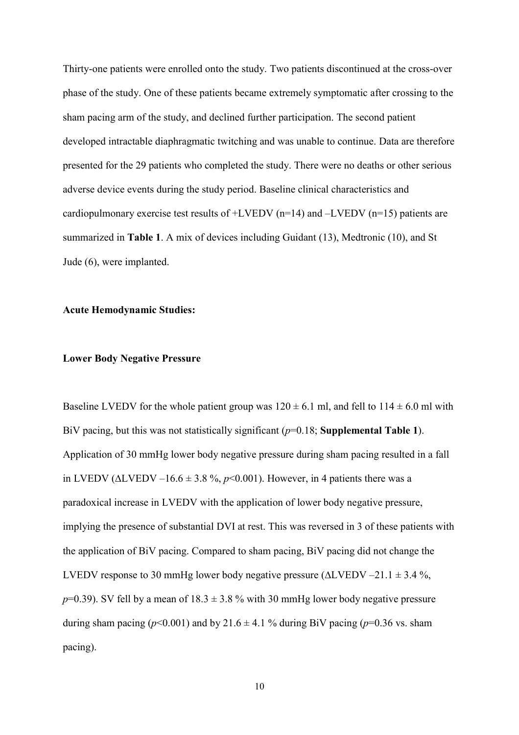Thirty-one patients were enrolled onto the study. Two patients discontinued at the cross-over phase of the study. One of these patients became extremely symptomatic after crossing to the sham pacing arm of the study, and declined further participation. The second patient developed intractable diaphragmatic twitching and was unable to continue. Data are therefore presented for the 29 patients who completed the study. There were no deaths or other serious adverse device events during the study period. Baseline clinical characteristics and cardiopulmonary exercise test results of  $+LVEDV$  (n=14) and  $-LVEDV$  (n=15) patients are summarized in **Table 1**. A mix of devices including Guidant (13), Medtronic (10), and St Jude (6), were implanted.

## **Acute Hemodynamic Studies:**

## **Lower Body Negative Pressure**

Baseline LVEDV for the whole patient group was  $120 \pm 6.1$  ml, and fell to  $114 \pm 6.0$  ml with BiV pacing, but this was not statistically significant (*p*=0.18; **Supplemental Table 1**). Application of 30 mmHg lower body negative pressure during sham pacing resulted in a fall in LVEDV ( $ΔLVEDV -16.6 ± 3.8 %$ ,  $p < 0.001$ ). However, in 4 patients there was a paradoxical increase in LVEDV with the application of lower body negative pressure, implying the presence of substantial DVI at rest. This was reversed in 3 of these patients with the application of BiV pacing. Compared to sham pacing, BiV pacing did not change the LVEDV response to 30 mmHg lower body negative pressure (∆LVEDV –21.1 ± 3.4 %,  $p=0.39$ ). SV fell by a mean of  $18.3 \pm 3.8$  % with 30 mmHg lower body negative pressure during sham pacing ( $p$ <0.001) and by 21.6  $\pm$  4.1 % during BiV pacing ( $p$ =0.36 vs. sham pacing).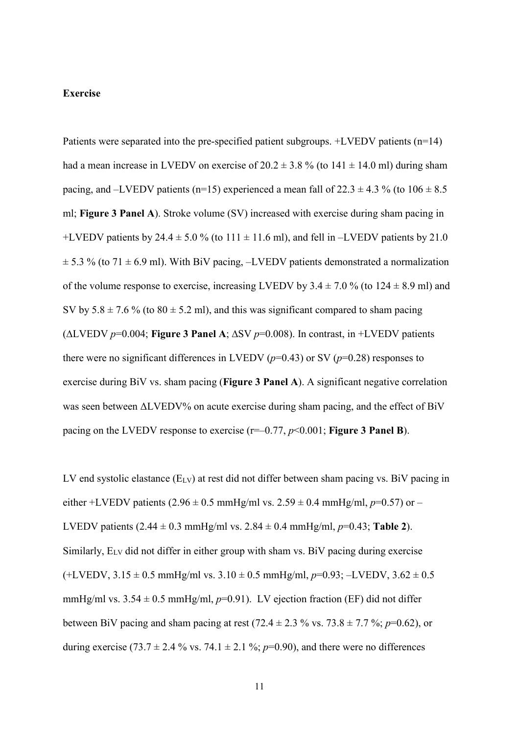#### **Exercise**

Patients were separated into the pre-specified patient subgroups. +LVEDV patients (n=14) had a mean increase in LVEDV on exercise of  $20.2 \pm 3.8$  % (to  $141 \pm 14.0$  ml) during sham pacing, and –LVEDV patients (n=15) experienced a mean fall of  $22.3 \pm 4.3$  % (to  $106 \pm 8.5$ ml; **Figure 3 Panel A**). Stroke volume (SV) increased with exercise during sham pacing in +LVEDV patients by 24.4  $\pm$  5.0 % (to 111  $\pm$  11.6 ml), and fell in –LVEDV patients by 21.0  $\pm$  5.3 % (to 71  $\pm$  6.9 ml). With BiV pacing, –LVEDV patients demonstrated a normalization of the volume response to exercise, increasing LVEDV by  $3.4 \pm 7.0$  % (to  $124 \pm 8.9$  ml) and SV by  $5.8 \pm 7.6$  % (to  $80 \pm 5.2$  ml), and this was significant compared to sham pacing (∆LVEDV *p*=0.004; **Figure 3 Panel A**; ∆SV *p*=0.008). In contrast, in +LVEDV patients there were no significant differences in LVEDV  $(p=0.43)$  or SV  $(p=0.28)$  responses to exercise during BiV vs. sham pacing (**Figure 3 Panel A**). A significant negative correlation was seen between ΔLVEDV% on acute exercise during sham pacing, and the effect of BiV pacing on the LVEDV response to exercise (r=–0.77, *p*<0.001; **Figure 3 Panel B**).

LV end systolic elastance (E<sub>LV</sub>) at rest did not differ between sham pacing vs. BiV pacing in either +LVEDV patients (2.96  $\pm$  0.5 mmHg/ml vs. 2.59  $\pm$  0.4 mmHg/ml, *p*=0.57) or – LVEDV patients  $(2.44 \pm 0.3 \text{ mmHg/ml vs. } 2.84 \pm 0.4 \text{ mmHg/ml}, p=0.43; \text{Table 2}).$ Similarly,  $E_{LV}$  did not differ in either group with sham vs. BiV pacing during exercise (+LVEDV, 3.15 ± 0.5 mmHg/ml vs. 3.10 ± 0.5 mmHg/ml, *p*=0.93; –LVEDV, 3.62 ± 0.5 mmHg/ml vs.  $3.54 \pm 0.5$  mmHg/ml,  $p=0.91$ ). LV ejection fraction (EF) did not differ between BiV pacing and sham pacing at rest  $(72.4 \pm 2.3 \% \text{ vs. } 73.8 \pm 7.7 \%; p=0.62)$ , or during exercise (73.7  $\pm$  2.4 % vs. 74.1  $\pm$  2.1 %; *p*=0.90), and there were no differences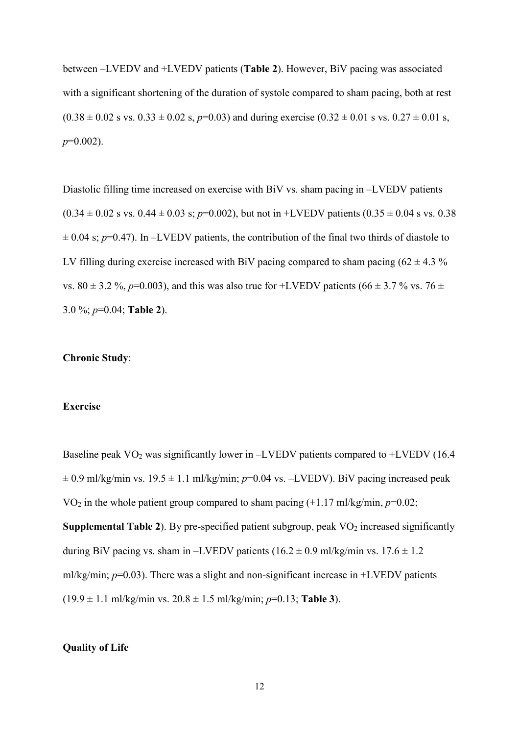between –LVEDV and +LVEDV patients (**Table 2**). However, BiV pacing was associated with a significant shortening of the duration of systole compared to sham pacing, both at rest  $(0.38 \pm 0.02 \text{ s vs. } 0.33 \pm 0.02 \text{ s}, p=0.03)$  and during exercise  $(0.32 \pm 0.01 \text{ s vs. } 0.27 \pm 0.01 \text{ s},$ *p*=0.002).

Diastolic filling time increased on exercise with BiV vs. sham pacing in –LVEDV patients  $(0.34 \pm 0.02 \text{ s vs. } 0.44 \pm 0.03 \text{ s}; p=0.002)$ , but not in +LVEDV patients  $(0.35 \pm 0.04 \text{ s vs. } 0.38 \text{ s})$  $\pm$  0.04 s;  $p$ =0.47). In –LVEDV patients, the contribution of the final two thirds of diastole to LV filling during exercise increased with BiV pacing compared to sham pacing  $(62 \pm 4.3 \%)$ vs. 80  $\pm$  3.2 %, *p*=0.003), and this was also true for +LVEDV patients (66  $\pm$  3.7 % vs. 76  $\pm$ 3.0 %; *p*=0.04; **Table 2**).

## **Chronic Study**:

## **Exercise**

Baseline peak  $VO<sub>2</sub>$  was significantly lower in –LVEDV patients compared to +LVEDV (16.4)  $\pm$  0.9 ml/kg/min vs. 19.5  $\pm$  1.1 ml/kg/min; *p*=0.04 vs. -LVEDV). BiV pacing increased peak VO<sup>2</sup> in the whole patient group compared to sham pacing (+1.17 ml/kg/min, *p*=0.02; **Supplemental Table 2**). By pre-specified patient subgroup, peak  $VO<sub>2</sub>$  increased significantly during BiV pacing vs. sham in –LVEDV patients  $(16.2 \pm 0.9 \text{ ml/kg/min vs. } 17.6 \pm 1.2 \text{ m})$ ml/kg/min;  $p=0.03$ ). There was a slight and non-significant increase in  $+LVEDV$  patients  $(19.9 \pm 1.1 \text{ m}$ *l*/kg/min vs.  $20.8 \pm 1.5 \text{ m}$ *l*/kg/min;  $p=0.13$ ; Table 3).

## **Quality of Life**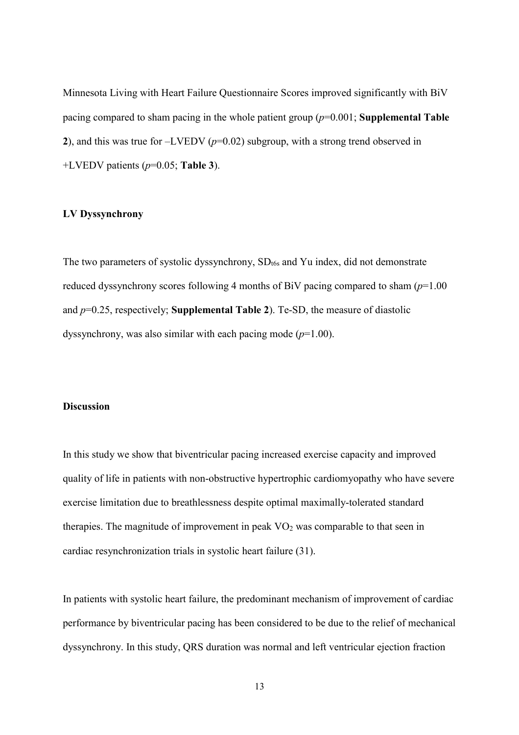Minnesota Living with Heart Failure Questionnaire Scores improved significantly with BiV pacing compared to sham pacing in the whole patient group (*p*=0.001; **Supplemental Table 2**), and this was true for –LVEDV (*p*=0.02) subgroup, with a strong trend observed in +LVEDV patients (*p*=0.05; **Table 3**).

#### **LV Dyssynchrony**

The two parameters of systolic dyssynchrony,  $SD_{t6s}$  and Yu index, did not demonstrate reduced dyssynchrony scores following 4 months of BiV pacing compared to sham (*p*=1.00 and *p*=0.25, respectively; **Supplemental Table 2**). Te-SD, the measure of diastolic dyssynchrony, was also similar with each pacing mode (*p*=1.00).

## **Discussion**

In this study we show that biventricular pacing increased exercise capacity and improved quality of life in patients with non-obstructive hypertrophic cardiomyopathy who have severe exercise limitation due to breathlessness despite optimal maximally-tolerated standard therapies. The magnitude of improvement in peak  $VO<sub>2</sub>$  was comparable to that seen in cardiac resynchronization trials in systolic heart failure (31).

In patients with systolic heart failure, the predominant mechanism of improvement of cardiac performance by biventricular pacing has been considered to be due to the relief of mechanical dyssynchrony. In this study, QRS duration was normal and left ventricular ejection fraction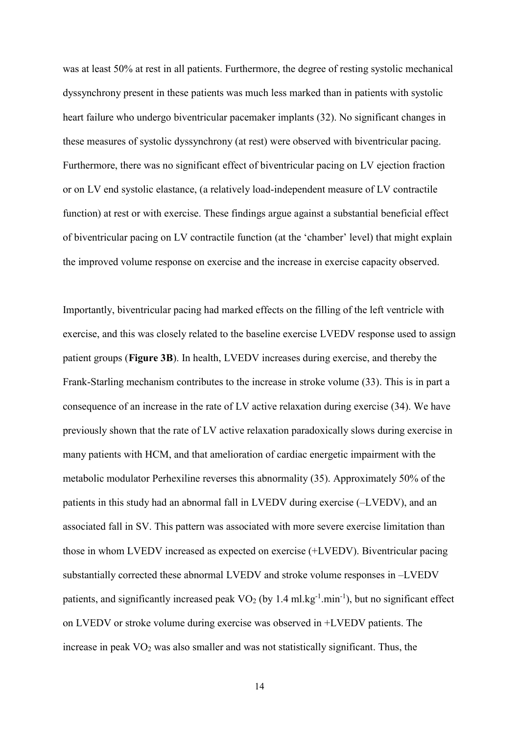was at least 50% at rest in all patients. Furthermore, the degree of resting systolic mechanical dyssynchrony present in these patients was much less marked than in patients with systolic heart failure who undergo biventricular pacemaker implants (32). No significant changes in these measures of systolic dyssynchrony (at rest) were observed with biventricular pacing. Furthermore, there was no significant effect of biventricular pacing on LV ejection fraction or on LV end systolic elastance, (a relatively load-independent measure of LV contractile function) at rest or with exercise. These findings argue against a substantial beneficial effect of biventricular pacing on LV contractile function (at the 'chamber' level) that might explain the improved volume response on exercise and the increase in exercise capacity observed.

Importantly, biventricular pacing had marked effects on the filling of the left ventricle with exercise, and this was closely related to the baseline exercise LVEDV response used to assign patient groups (**Figure 3B**). In health, LVEDV increases during exercise, and thereby the Frank-Starling mechanism contributes to the increase in stroke volume (33). This is in part a consequence of an increase in the rate of LV active relaxation during exercise (34). We have previously shown that the rate of LV active relaxation paradoxically slows during exercise in many patients with HCM, and that amelioration of cardiac energetic impairment with the metabolic modulator Perhexiline reverses this abnormality (35). Approximately 50% of the patients in this study had an abnormal fall in LVEDV during exercise (–LVEDV), and an associated fall in SV. This pattern was associated with more severe exercise limitation than those in whom LVEDV increased as expected on exercise (+LVEDV). Biventricular pacing substantially corrected these abnormal LVEDV and stroke volume responses in –LVEDV patients, and significantly increased peak  $VO_2$  (by 1.4 ml.kg<sup>-1</sup>.min<sup>-1</sup>), but no significant effect on LVEDV or stroke volume during exercise was observed in +LVEDV patients. The increase in peak  $VO<sub>2</sub>$  was also smaller and was not statistically significant. Thus, the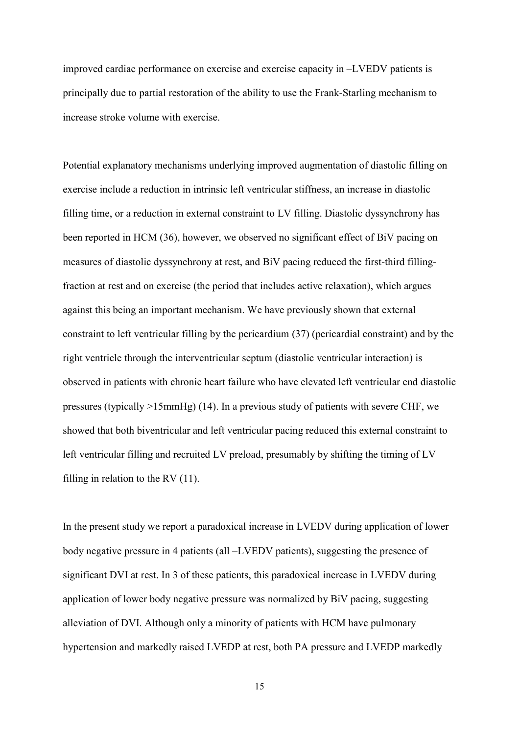improved cardiac performance on exercise and exercise capacity in –LVEDV patients is principally due to partial restoration of the ability to use the Frank-Starling mechanism to increase stroke volume with exercise.

Potential explanatory mechanisms underlying improved augmentation of diastolic filling on exercise include a reduction in intrinsic left ventricular stiffness, an increase in diastolic filling time, or a reduction in external constraint to LV filling. Diastolic dyssynchrony has been reported in HCM (36), however, we observed no significant effect of BiV pacing on measures of diastolic dyssynchrony at rest, and BiV pacing reduced the first-third fillingfraction at rest and on exercise (the period that includes active relaxation), which argues against this being an important mechanism. We have previously shown that external constraint to left ventricular filling by the pericardium (37) (pericardial constraint) and by the right ventricle through the interventricular septum (diastolic ventricular interaction) is observed in patients with chronic heart failure who have elevated left ventricular end diastolic pressures (typically >15mmHg) (14). In a previous study of patients with severe CHF, we showed that both biventricular and left ventricular pacing reduced this external constraint to left ventricular filling and recruited LV preload, presumably by shifting the timing of LV filling in relation to the RV (11).

In the present study we report a paradoxical increase in LVEDV during application of lower body negative pressure in 4 patients (all –LVEDV patients), suggesting the presence of significant DVI at rest. In 3 of these patients, this paradoxical increase in LVEDV during application of lower body negative pressure was normalized by BiV pacing, suggesting alleviation of DVI. Although only a minority of patients with HCM have pulmonary hypertension and markedly raised LVEDP at rest, both PA pressure and LVEDP markedly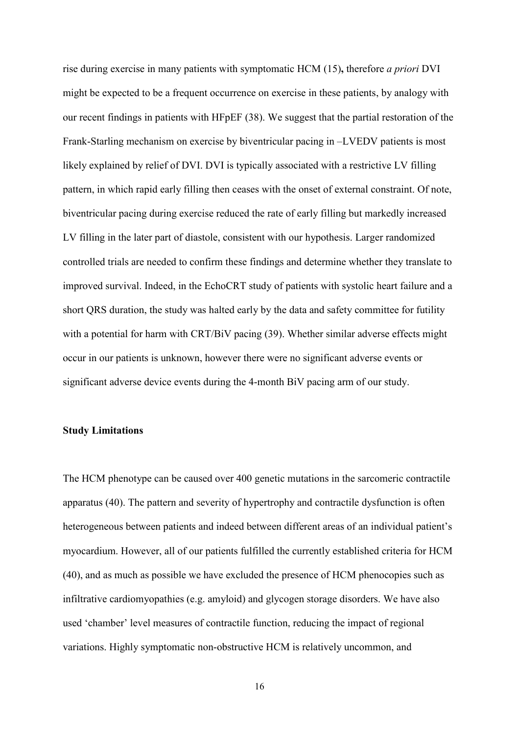rise during exercise in many patients with symptomatic HCM (15)**,** therefore *a priori* DVI might be expected to be a frequent occurrence on exercise in these patients, by analogy with our recent findings in patients with HFpEF (38). We suggest that the partial restoration of the Frank-Starling mechanism on exercise by biventricular pacing in –LVEDV patients is most likely explained by relief of DVI. DVI is typically associated with a restrictive LV filling pattern, in which rapid early filling then ceases with the onset of external constraint. Of note, biventricular pacing during exercise reduced the rate of early filling but markedly increased LV filling in the later part of diastole, consistent with our hypothesis. Larger randomized controlled trials are needed to confirm these findings and determine whether they translate to improved survival. Indeed, in the EchoCRT study of patients with systolic heart failure and a short QRS duration, the study was halted early by the data and safety committee for futility with a potential for harm with CRT/BiV pacing (39). Whether similar adverse effects might occur in our patients is unknown, however there were no significant adverse events or significant adverse device events during the 4-month BiV pacing arm of our study.

#### **Study Limitations**

The HCM phenotype can be caused over 400 genetic mutations in the sarcomeric contractile apparatus (40). The pattern and severity of hypertrophy and contractile dysfunction is often heterogeneous between patients and indeed between different areas of an individual patient's myocardium. However, all of our patients fulfilled the currently established criteria for HCM (40), and as much as possible we have excluded the presence of HCM phenocopies such as infiltrative cardiomyopathies (e.g. amyloid) and glycogen storage disorders. We have also used 'chamber' level measures of contractile function, reducing the impact of regional variations. Highly symptomatic non-obstructive HCM is relatively uncommon, and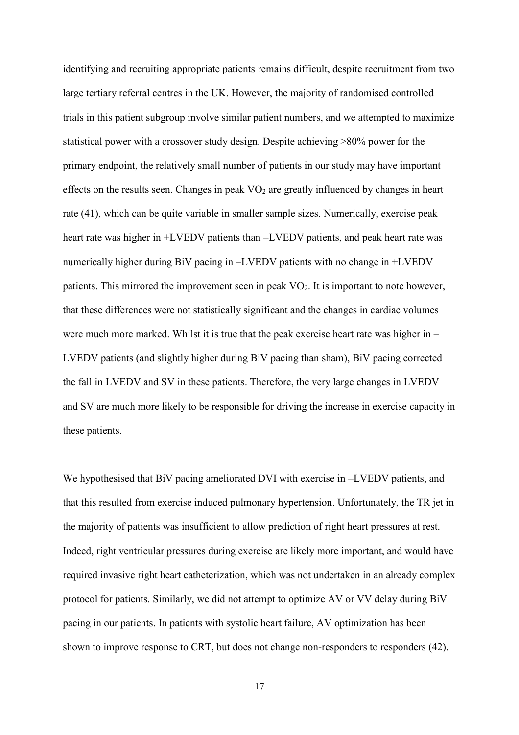identifying and recruiting appropriate patients remains difficult, despite recruitment from two large tertiary referral centres in the UK. However, the majority of randomised controlled trials in this patient subgroup involve similar patient numbers, and we attempted to maximize statistical power with a crossover study design. Despite achieving >80% power for the primary endpoint, the relatively small number of patients in our study may have important effects on the results seen. Changes in peak  $VO<sub>2</sub>$  are greatly influenced by changes in heart rate (41), which can be quite variable in smaller sample sizes. Numerically, exercise peak heart rate was higher in +LVEDV patients than –LVEDV patients, and peak heart rate was numerically higher during BiV pacing in –LVEDV patients with no change in +LVEDV patients. This mirrored the improvement seen in peak VO<sub>2</sub>. It is important to note however, that these differences were not statistically significant and the changes in cardiac volumes were much more marked. Whilst it is true that the peak exercise heart rate was higher in – LVEDV patients (and slightly higher during BiV pacing than sham), BiV pacing corrected the fall in LVEDV and SV in these patients. Therefore, the very large changes in LVEDV and SV are much more likely to be responsible for driving the increase in exercise capacity in these patients.

We hypothesised that BiV pacing ameliorated DVI with exercise in –LVEDV patients, and that this resulted from exercise induced pulmonary hypertension. Unfortunately, the TR jet in the majority of patients was insufficient to allow prediction of right heart pressures at rest. Indeed, right ventricular pressures during exercise are likely more important, and would have required invasive right heart catheterization, which was not undertaken in an already complex protocol for patients. Similarly, we did not attempt to optimize AV or VV delay during BiV pacing in our patients. In patients with systolic heart failure, AV optimization has been shown to improve response to CRT, but does not change non-responders to responders (42).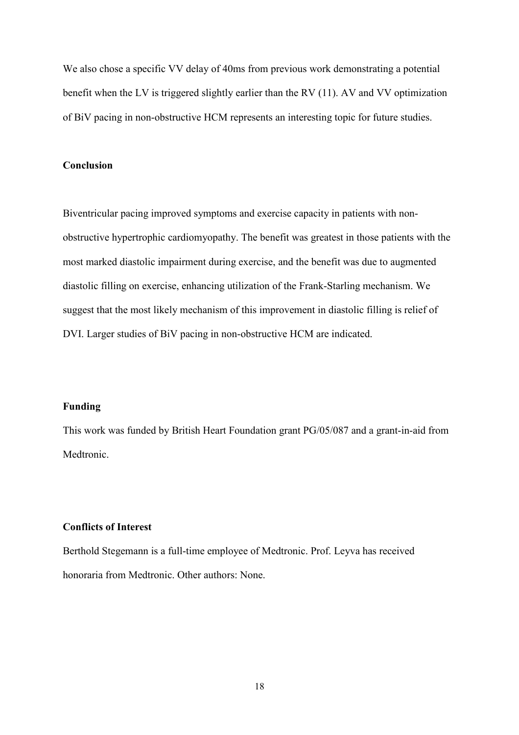We also chose a specific VV delay of 40ms from previous work demonstrating a potential benefit when the LV is triggered slightly earlier than the RV (11). AV and VV optimization of BiV pacing in non-obstructive HCM represents an interesting topic for future studies.

## **Conclusion**

Biventricular pacing improved symptoms and exercise capacity in patients with nonobstructive hypertrophic cardiomyopathy. The benefit was greatest in those patients with the most marked diastolic impairment during exercise, and the benefit was due to augmented diastolic filling on exercise, enhancing utilization of the Frank-Starling mechanism. We suggest that the most likely mechanism of this improvement in diastolic filling is relief of DVI. Larger studies of BiV pacing in non-obstructive HCM are indicated.

## **Funding**

This work was funded by British Heart Foundation grant PG/05/087 and a grant-in-aid from Medtronic.

#### **Conflicts of Interest**

Berthold Stegemann is a full-time employee of Medtronic. Prof. Leyva has received honoraria from Medtronic. Other authors: None.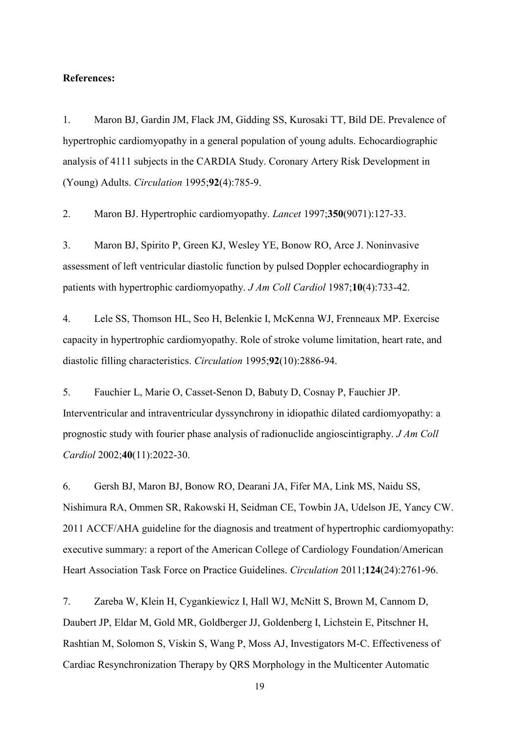#### **References:**

1. Maron BJ, Gardin JM, Flack JM, Gidding SS, Kurosaki TT, Bild DE. Prevalence of hypertrophic cardiomyopathy in a general population of young adults. Echocardiographic analysis of 4111 subjects in the CARDIA Study. Coronary Artery Risk Development in (Young) Adults. *Circulation* 1995;**92**(4):785-9.

2. Maron BJ. Hypertrophic cardiomyopathy. *Lancet* 1997;**350**(9071):127-33.

3. Maron BJ, Spirito P, Green KJ, Wesley YE, Bonow RO, Arce J. Noninvasive assessment of left ventricular diastolic function by pulsed Doppler echocardiography in patients with hypertrophic cardiomyopathy. *J Am Coll Cardiol* 1987;**10**(4):733-42.

4. Lele SS, Thomson HL, Seo H, Belenkie I, McKenna WJ, Frenneaux MP. Exercise capacity in hypertrophic cardiomyopathy. Role of stroke volume limitation, heart rate, and diastolic filling characteristics. *Circulation* 1995;**92**(10):2886-94.

5. Fauchier L, Marie O, Casset-Senon D, Babuty D, Cosnay P, Fauchier JP. Interventricular and intraventricular dyssynchrony in idiopathic dilated cardiomyopathy: a prognostic study with fourier phase analysis of radionuclide angioscintigraphy. *J Am Coll Cardiol* 2002;**40**(11):2022-30.

6. Gersh BJ, Maron BJ, Bonow RO, Dearani JA, Fifer MA, Link MS, Naidu SS, Nishimura RA, Ommen SR, Rakowski H, Seidman CE, Towbin JA, Udelson JE, Yancy CW. 2011 ACCF/AHA guideline for the diagnosis and treatment of hypertrophic cardiomyopathy: executive summary: a report of the American College of Cardiology Foundation/American Heart Association Task Force on Practice Guidelines. *Circulation* 2011;**124**(24):2761-96.

7. Zareba W, Klein H, Cygankiewicz I, Hall WJ, McNitt S, Brown M, Cannom D, Daubert JP, Eldar M, Gold MR, Goldberger JJ, Goldenberg I, Lichstein E, Pitschner H, Rashtian M, Solomon S, Viskin S, Wang P, Moss AJ, Investigators M-C. Effectiveness of Cardiac Resynchronization Therapy by QRS Morphology in the Multicenter Automatic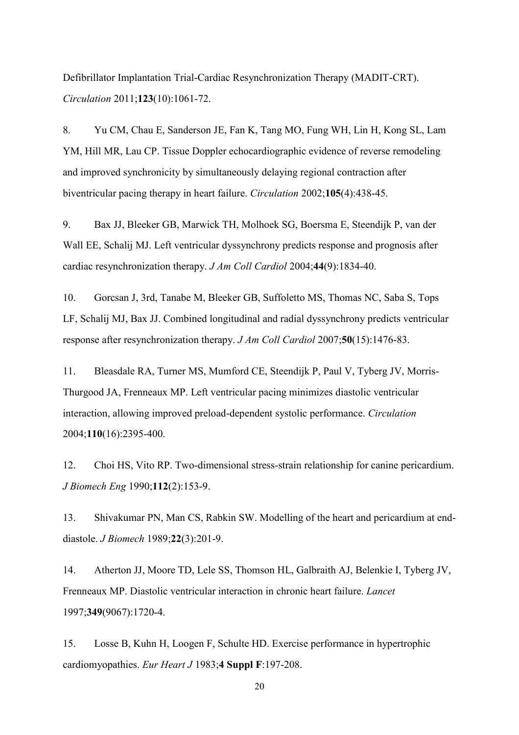Defibrillator Implantation Trial-Cardiac Resynchronization Therapy (MADIT-CRT). *Circulation* 2011;**123**(10):1061-72.

8. Yu CM, Chau E, Sanderson JE, Fan K, Tang MO, Fung WH, Lin H, Kong SL, Lam YM, Hill MR, Lau CP. Tissue Doppler echocardiographic evidence of reverse remodeling and improved synchronicity by simultaneously delaying regional contraction after biventricular pacing therapy in heart failure. *Circulation* 2002;**105**(4):438-45.

9. Bax JJ, Bleeker GB, Marwick TH, Molhoek SG, Boersma E, Steendijk P, van der Wall EE, Schalij MJ. Left ventricular dyssynchrony predicts response and prognosis after cardiac resynchronization therapy. *J Am Coll Cardiol* 2004;**44**(9):1834-40.

10. Gorcsan J, 3rd, Tanabe M, Bleeker GB, Suffoletto MS, Thomas NC, Saba S, Tops LF, Schalij MJ, Bax JJ. Combined longitudinal and radial dyssynchrony predicts ventricular response after resynchronization therapy. *J Am Coll Cardiol* 2007;**50**(15):1476-83.

11. Bleasdale RA, Turner MS, Mumford CE, Steendijk P, Paul V, Tyberg JV, Morris-Thurgood JA, Frenneaux MP. Left ventricular pacing minimizes diastolic ventricular interaction, allowing improved preload-dependent systolic performance. *Circulation* 2004;**110**(16):2395-400.

12. Choi HS, Vito RP. Two-dimensional stress-strain relationship for canine pericardium. *J Biomech Eng* 1990;**112**(2):153-9.

13. Shivakumar PN, Man CS, Rabkin SW. Modelling of the heart and pericardium at enddiastole. *J Biomech* 1989;**22**(3):201-9.

14. Atherton JJ, Moore TD, Lele SS, Thomson HL, Galbraith AJ, Belenkie I, Tyberg JV, Frenneaux MP. Diastolic ventricular interaction in chronic heart failure. *Lancet* 1997;**349**(9067):1720-4.

15. Losse B, Kuhn H, Loogen F, Schulte HD. Exercise performance in hypertrophic cardiomyopathies. *Eur Heart J* 1983;**4 Suppl F**:197-208.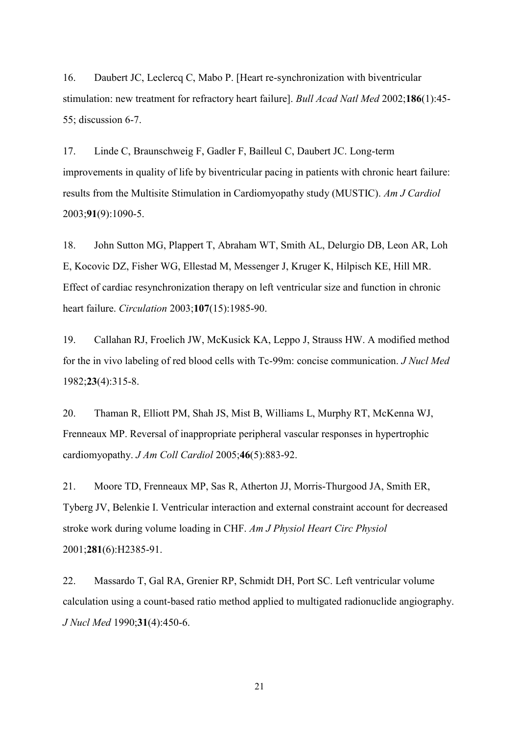16. Daubert JC, Leclercq C, Mabo P. [Heart re-synchronization with biventricular stimulation: new treatment for refractory heart failure]. *Bull Acad Natl Med* 2002;**186**(1):45- 55; discussion 6-7.

17. Linde C, Braunschweig F, Gadler F, Bailleul C, Daubert JC. Long-term improvements in quality of life by biventricular pacing in patients with chronic heart failure: results from the Multisite Stimulation in Cardiomyopathy study (MUSTIC). *Am J Cardiol* 2003;**91**(9):1090-5.

18. John Sutton MG, Plappert T, Abraham WT, Smith AL, Delurgio DB, Leon AR, Loh E, Kocovic DZ, Fisher WG, Ellestad M, Messenger J, Kruger K, Hilpisch KE, Hill MR. Effect of cardiac resynchronization therapy on left ventricular size and function in chronic heart failure. *Circulation* 2003;**107**(15):1985-90.

19. Callahan RJ, Froelich JW, McKusick KA, Leppo J, Strauss HW. A modified method for the in vivo labeling of red blood cells with Tc-99m: concise communication. *J Nucl Med* 1982;**23**(4):315-8.

20. Thaman R, Elliott PM, Shah JS, Mist B, Williams L, Murphy RT, McKenna WJ, Frenneaux MP. Reversal of inappropriate peripheral vascular responses in hypertrophic cardiomyopathy. *J Am Coll Cardiol* 2005;**46**(5):883-92.

21. Moore TD, Frenneaux MP, Sas R, Atherton JJ, Morris-Thurgood JA, Smith ER, Tyberg JV, Belenkie I. Ventricular interaction and external constraint account for decreased stroke work during volume loading in CHF. *Am J Physiol Heart Circ Physiol* 2001;**281**(6):H2385-91.

22. Massardo T, Gal RA, Grenier RP, Schmidt DH, Port SC. Left ventricular volume calculation using a count-based ratio method applied to multigated radionuclide angiography. *J Nucl Med* 1990;**31**(4):450-6.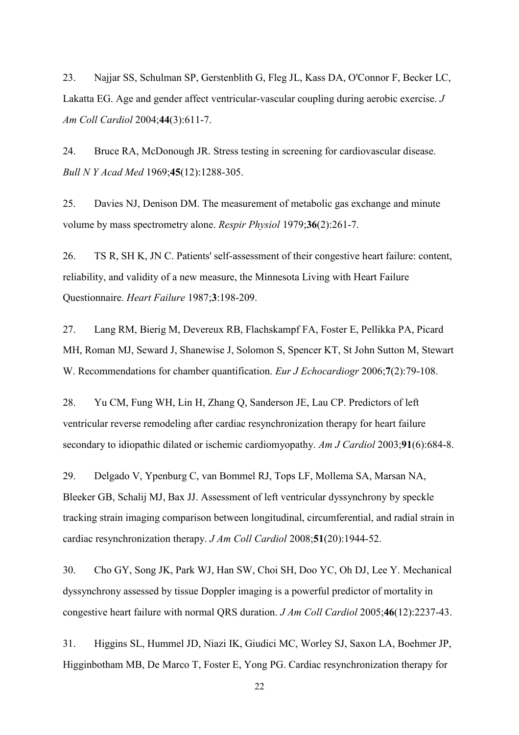23. Najjar SS, Schulman SP, Gerstenblith G, Fleg JL, Kass DA, O'Connor F, Becker LC, Lakatta EG. Age and gender affect ventricular-vascular coupling during aerobic exercise. *J Am Coll Cardiol* 2004;**44**(3):611-7.

24. Bruce RA, McDonough JR. Stress testing in screening for cardiovascular disease. *Bull N Y Acad Med* 1969;**45**(12):1288-305.

25. Davies NJ, Denison DM. The measurement of metabolic gas exchange and minute volume by mass spectrometry alone. *Respir Physiol* 1979;**36**(2):261-7.

26. TS R, SH K, JN C. Patients' self-assessment of their congestive heart failure: content, reliability, and validity of a new measure, the Minnesota Living with Heart Failure Questionnaire. *Heart Failure* 1987;**3**:198-209.

27. Lang RM, Bierig M, Devereux RB, Flachskampf FA, Foster E, Pellikka PA, Picard MH, Roman MJ, Seward J, Shanewise J, Solomon S, Spencer KT, St John Sutton M, Stewart W. Recommendations for chamber quantification. *Eur J Echocardiogr* 2006;**7**(2):79-108.

28. Yu CM, Fung WH, Lin H, Zhang Q, Sanderson JE, Lau CP. Predictors of left ventricular reverse remodeling after cardiac resynchronization therapy for heart failure secondary to idiopathic dilated or ischemic cardiomyopathy. *Am J Cardiol* 2003;**91**(6):684-8.

29. Delgado V, Ypenburg C, van Bommel RJ, Tops LF, Mollema SA, Marsan NA, Bleeker GB, Schalij MJ, Bax JJ. Assessment of left ventricular dyssynchrony by speckle tracking strain imaging comparison between longitudinal, circumferential, and radial strain in cardiac resynchronization therapy. *J Am Coll Cardiol* 2008;**51**(20):1944-52.

30. Cho GY, Song JK, Park WJ, Han SW, Choi SH, Doo YC, Oh DJ, Lee Y. Mechanical dyssynchrony assessed by tissue Doppler imaging is a powerful predictor of mortality in congestive heart failure with normal QRS duration. *J Am Coll Cardiol* 2005;**46**(12):2237-43.

31. Higgins SL, Hummel JD, Niazi IK, Giudici MC, Worley SJ, Saxon LA, Boehmer JP, Higginbotham MB, De Marco T, Foster E, Yong PG. Cardiac resynchronization therapy for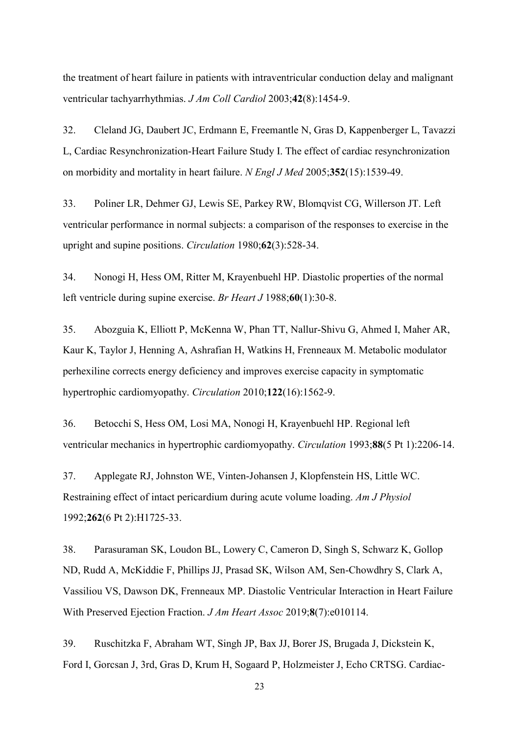the treatment of heart failure in patients with intraventricular conduction delay and malignant ventricular tachyarrhythmias. *J Am Coll Cardiol* 2003;**42**(8):1454-9.

32. Cleland JG, Daubert JC, Erdmann E, Freemantle N, Gras D, Kappenberger L, Tavazzi L, Cardiac Resynchronization-Heart Failure Study I. The effect of cardiac resynchronization on morbidity and mortality in heart failure. *N Engl J Med* 2005;**352**(15):1539-49.

33. Poliner LR, Dehmer GJ, Lewis SE, Parkey RW, Blomqvist CG, Willerson JT. Left ventricular performance in normal subjects: a comparison of the responses to exercise in the upright and supine positions. *Circulation* 1980;**62**(3):528-34.

34. Nonogi H, Hess OM, Ritter M, Krayenbuehl HP. Diastolic properties of the normal left ventricle during supine exercise. *Br Heart J* 1988;**60**(1):30-8.

35. Abozguia K, Elliott P, McKenna W, Phan TT, Nallur-Shivu G, Ahmed I, Maher AR, Kaur K, Taylor J, Henning A, Ashrafian H, Watkins H, Frenneaux M. Metabolic modulator perhexiline corrects energy deficiency and improves exercise capacity in symptomatic hypertrophic cardiomyopathy. *Circulation* 2010;**122**(16):1562-9.

36. Betocchi S, Hess OM, Losi MA, Nonogi H, Krayenbuehl HP. Regional left ventricular mechanics in hypertrophic cardiomyopathy. *Circulation* 1993;**88**(5 Pt 1):2206-14.

37. Applegate RJ, Johnston WE, Vinten-Johansen J, Klopfenstein HS, Little WC. Restraining effect of intact pericardium during acute volume loading. *Am J Physiol* 1992;**262**(6 Pt 2):H1725-33.

38. Parasuraman SK, Loudon BL, Lowery C, Cameron D, Singh S, Schwarz K, Gollop ND, Rudd A, McKiddie F, Phillips JJ, Prasad SK, Wilson AM, Sen-Chowdhry S, Clark A, Vassiliou VS, Dawson DK, Frenneaux MP. Diastolic Ventricular Interaction in Heart Failure With Preserved Ejection Fraction. *J Am Heart Assoc* 2019;**8**(7):e010114.

39. Ruschitzka F, Abraham WT, Singh JP, Bax JJ, Borer JS, Brugada J, Dickstein K, Ford I, Gorcsan J, 3rd, Gras D, Krum H, Sogaard P, Holzmeister J, Echo CRTSG. Cardiac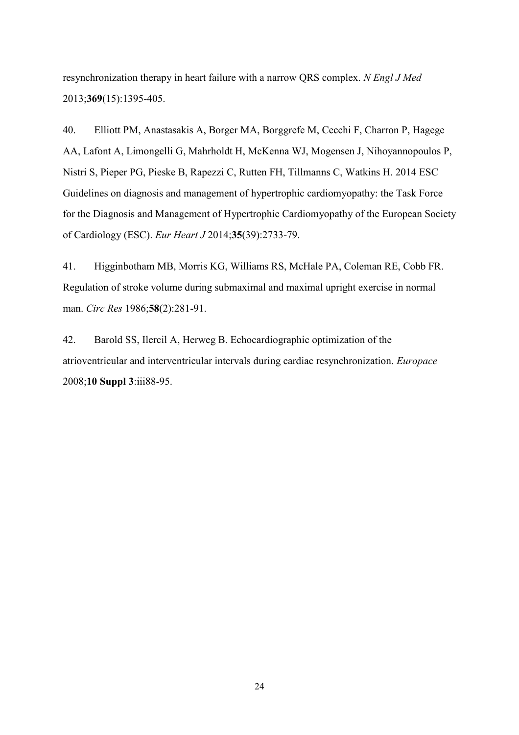resynchronization therapy in heart failure with a narrow QRS complex. *N Engl J Med* 2013;**369**(15):1395-405.

40. Elliott PM, Anastasakis A, Borger MA, Borggrefe M, Cecchi F, Charron P, Hagege AA, Lafont A, Limongelli G, Mahrholdt H, McKenna WJ, Mogensen J, Nihoyannopoulos P, Nistri S, Pieper PG, Pieske B, Rapezzi C, Rutten FH, Tillmanns C, Watkins H. 2014 ESC Guidelines on diagnosis and management of hypertrophic cardiomyopathy: the Task Force for the Diagnosis and Management of Hypertrophic Cardiomyopathy of the European Society of Cardiology (ESC). *Eur Heart J* 2014;**35**(39):2733-79.

41. Higginbotham MB, Morris KG, Williams RS, McHale PA, Coleman RE, Cobb FR. Regulation of stroke volume during submaximal and maximal upright exercise in normal man. *Circ Res* 1986;**58**(2):281-91.

42. Barold SS, Ilercil A, Herweg B. Echocardiographic optimization of the atrioventricular and interventricular intervals during cardiac resynchronization. *Europace* 2008;**10 Suppl 3**:iii88-95.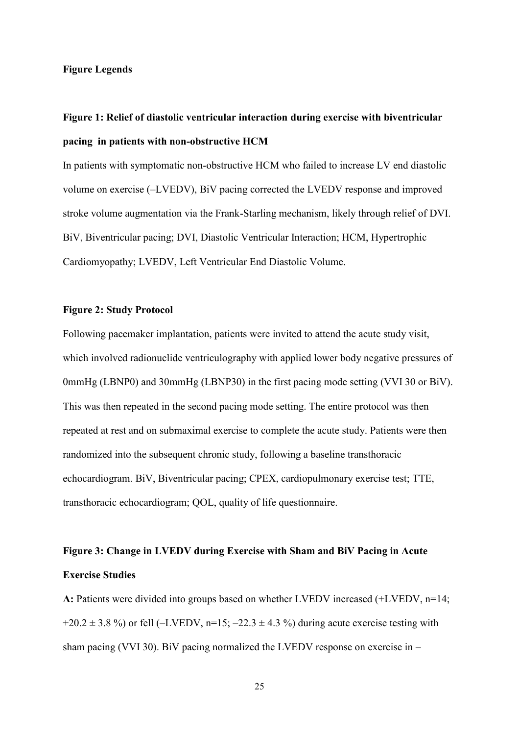#### **Figure Legends**

# **Figure 1: Relief of diastolic ventricular interaction during exercise with biventricular pacing in patients with non-obstructive HCM**

In patients with symptomatic non-obstructive HCM who failed to increase LV end diastolic volume on exercise (–LVEDV), BiV pacing corrected the LVEDV response and improved stroke volume augmentation via the Frank-Starling mechanism, likely through relief of DVI. BiV, Biventricular pacing; DVI, Diastolic Ventricular Interaction; HCM, Hypertrophic Cardiomyopathy; LVEDV, Left Ventricular End Diastolic Volume.

## **Figure 2: Study Protocol**

Following pacemaker implantation, patients were invited to attend the acute study visit, which involved radionuclide ventriculography with applied lower body negative pressures of 0mmHg (LBNP0) and 30mmHg (LBNP30) in the first pacing mode setting (VVI 30 or BiV). This was then repeated in the second pacing mode setting. The entire protocol was then repeated at rest and on submaximal exercise to complete the acute study. Patients were then randomized into the subsequent chronic study, following a baseline transthoracic echocardiogram. BiV, Biventricular pacing; CPEX, cardiopulmonary exercise test; TTE, transthoracic echocardiogram; QOL, quality of life questionnaire.

# **Figure 3: Change in LVEDV during Exercise with Sham and BiV Pacing in Acute Exercise Studies**

**A:** Patients were divided into groups based on whether LVEDV increased (+LVEDV, n=14;  $+20.2 \pm 3.8$  %) or fell (-LVEDV, n=15; -22.3  $\pm$  4.3 %) during acute exercise testing with sham pacing (VVI 30). BiV pacing normalized the LVEDV response on exercise in –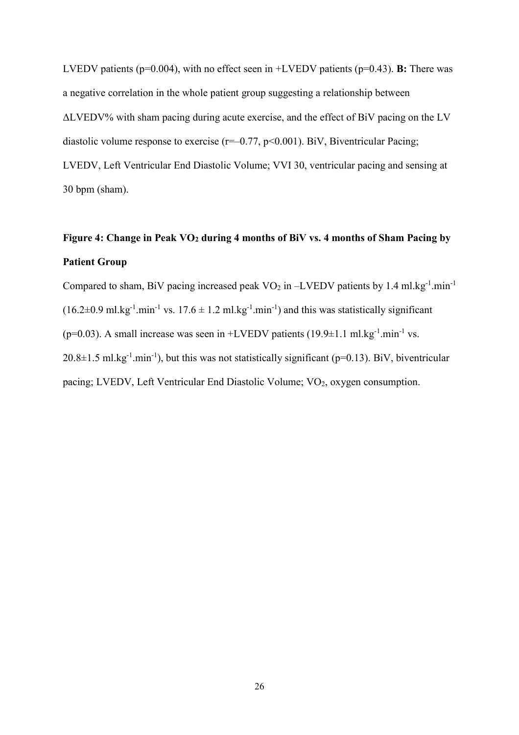LVEDV patients (p=0.004), with no effect seen in +LVEDV patients (p=0.43). **B:** There was a negative correlation in the whole patient group suggesting a relationship between ΔLVEDV% with sham pacing during acute exercise, and the effect of BiV pacing on the LV diastolic volume response to exercise ( $r=-0.77$ ,  $p<0.001$ ). BiV, Biventricular Pacing; LVEDV, Left Ventricular End Diastolic Volume; VVI 30, ventricular pacing and sensing at 30 bpm (sham).

# **Figure 4: Change in Peak VO<sup>2</sup> during 4 months of BiV vs. 4 months of Sham Pacing by Patient Group**

Compared to sham, BiV pacing increased peak  $VO_2$  in -LVEDV patients by 1.4 ml.kg<sup>-1</sup>.min<sup>-1</sup>  $(16.2\pm0.9 \text{ ml} \cdot \text{kg}^{-1} \cdot \text{min}^{-1} \text{ vs. } 17.6 \pm 1.2 \text{ ml} \cdot \text{kg}^{-1} \cdot \text{min}^{-1})$  and this was statistically significant ( $p=0.03$ ). A small increase was seen in +LVEDV patients (19.9 $\pm$ 1.1 ml.kg<sup>-1</sup>.min<sup>-1</sup> vs.  $20.8 \pm 1.5$  ml.kg<sup>-1</sup>.min<sup>-1</sup>), but this was not statistically significant (p=0.13). BiV, biventricular pacing; LVEDV, Left Ventricular End Diastolic Volume; VO<sub>2</sub>, oxygen consumption.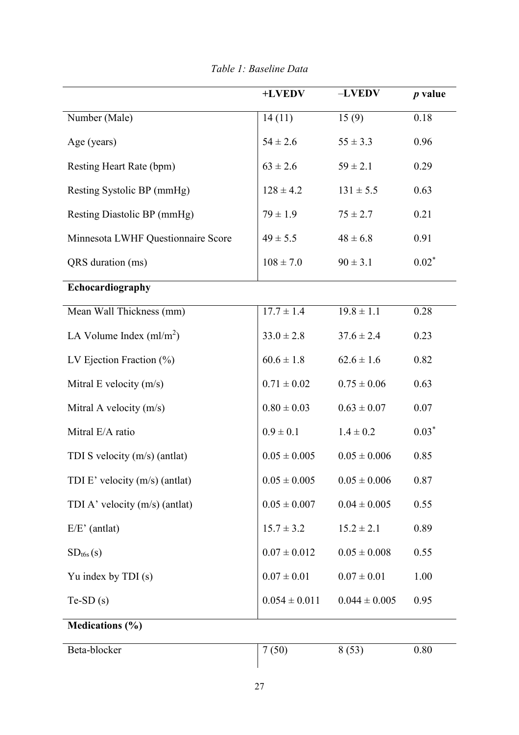|                                    | +LVEDV            | $-LVEDV$          | $p$ value |
|------------------------------------|-------------------|-------------------|-----------|
| Number (Male)                      | 14(11)            | 15(9)             | 0.18      |
| Age (years)                        | $54 \pm 2.6$      | $55 \pm 3.3$      | 0.96      |
| Resting Heart Rate (bpm)           | $63 \pm 2.6$      | $59 \pm 2.1$      | 0.29      |
| Resting Systolic BP (mmHg)         | $128 \pm 4.2$     | $131 \pm 5.5$     | 0.63      |
| Resting Diastolic BP (mmHg)        | $79 \pm 1.9$      | $75 \pm 2.7$      | 0.21      |
| Minnesota LWHF Questionnaire Score | $49 \pm 5.5$      | $48 \pm 6.8$      | 0.91      |
| QRS duration (ms)                  | $108 \pm 7.0$     | $90 \pm 3.1$      | $0.02*$   |
| Echocardiography                   |                   |                   |           |
| Mean Wall Thickness (mm)           | $17.7 \pm 1.4$    | $19.8 \pm 1.1$    | 0.28      |
| LA Volume Index $(ml/m2)$          | $33.0 \pm 2.8$    | $37.6 \pm 2.4$    | 0.23      |
| LV Ejection Fraction $(\%)$        | $60.6 \pm 1.8$    | $62.6 \pm 1.6$    | 0.82      |
| Mitral E velocity $(m/s)$          | $0.71 \pm 0.02$   | $0.75 \pm 0.06$   | 0.63      |
| Mitral A velocity $(m/s)$          | $0.80 \pm 0.03$   | $0.63 \pm 0.07$   | 0.07      |
| Mitral E/A ratio                   | $0.9 \pm 0.1$     | $1.4 \pm 0.2$     | $0.03*$   |
| TDI S velocity (m/s) (antlat)      | $0.05 \pm 0.005$  | $0.05 \pm 0.006$  | 0.85      |
| TDI E' velocity (m/s) (antlat)     | $0.05\pm0.005$    | $0.05\pm0.006$    | 0.87      |
| TDI A' velocity $(m/s)$ (antlat)   | $0.05 \pm 0.007$  | $0.04 \pm 0.005$  | 0.55      |
| $E/E'$ (antlat)                    | $15.7 \pm 3.2$    | $15.2 \pm 2.1$    | 0.89      |
| SD <sub>t6s</sub> (s)              | $0.07 \pm 0.012$  | $0.05 \pm 0.008$  | 0.55      |
| Yu index by TDI (s)                | $0.07 \pm 0.01$   | $0.07 \pm 0.01$   | 1.00      |
| $Te-SD(s)$                         | $0.054 \pm 0.011$ | $0.044 \pm 0.005$ | 0.95      |
| <b>Medications (%)</b>             |                   |                   |           |
| Beta-blocker                       | 7(50)             | 8(53)             | 0.80      |

*Table 1: Baseline Data*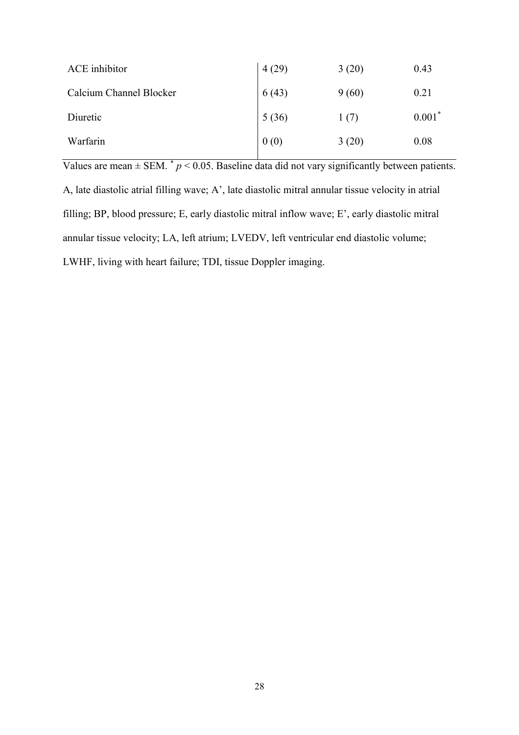| ACE inhibitor           | 4(29) | 3(20) | 0.43     |
|-------------------------|-------|-------|----------|
| Calcium Channel Blocker | 6(43) | 9(60) | 0.21     |
| Diuretic                | 5(36) | 1(7)  | $0.001*$ |
| Warfarin                | 0(0)  | 3(20) | 0.08     |

Values are mean  $\pm$  SEM.  $^*$   $p$  < 0.05. Baseline data did not vary significantly between patients. A, late diastolic atrial filling wave; A', late diastolic mitral annular tissue velocity in atrial filling; BP, blood pressure; E, early diastolic mitral inflow wave; E', early diastolic mitral annular tissue velocity; LA, left atrium; LVEDV, left ventricular end diastolic volume; LWHF, living with heart failure; TDI, tissue Doppler imaging.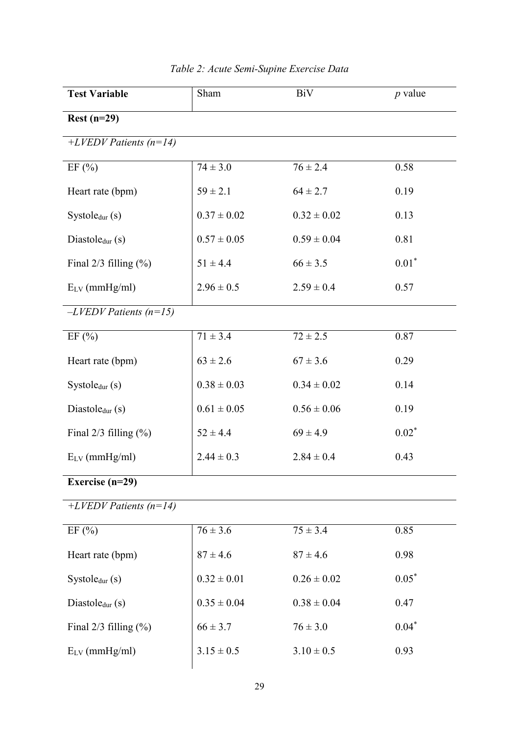| <b>Test Variable</b>       | Sham            | BiV             | $p$ value |  |
|----------------------------|-----------------|-----------------|-----------|--|
| $Rest(n=29)$               |                 |                 |           |  |
| $+LVEDV$ Patients (n=14)   |                 |                 |           |  |
| EF(%)                      | $74 \pm 3.0$    | $76 \pm 2.4$    | 0.58      |  |
| Heart rate (bpm)           | $59 \pm 2.1$    | $64 \pm 2.7$    | 0.19      |  |
| System(s)                  | $0.37 \pm 0.02$ | $0.32 \pm 0.02$ | 0.13      |  |
| Diastole $_{dur}$ (s)      | $0.57 \pm 0.05$ | $0.59 \pm 0.04$ | 0.81      |  |
| Final $2/3$ filling $(\%)$ | $51 \pm 4.4$    | $66 \pm 3.5$    | $0.01*$   |  |
| $E_{LV}$ (mmHg/ml)         | $2.96 \pm 0.5$  | $2.59 \pm 0.4$  | 0.57      |  |
| $-LVEDV$ Patients (n=15)   |                 |                 |           |  |
| EF(%)                      | $71 \pm 3.4$    | $72 \pm 2.5$    | 0.87      |  |
| Heart rate (bpm)           | $63 \pm 2.6$    | $67 \pm 3.6$    | 0.29      |  |
| Systoledur (s)             | $0.38 \pm 0.03$ | $0.34 \pm 0.02$ | 0.14      |  |
| Diastole $_{dur}$ (s)      | $0.61 \pm 0.05$ | $0.56 \pm 0.06$ | 0.19      |  |
| Final $2/3$ filling $(\%)$ | $52 \pm 4.4$    | $69 \pm 4.9$    | $0.02^*$  |  |
| $E_{LV}$ (mmHg/ml)         | $2.44 \pm 0.3$  | $2.84 \pm 0.4$  | 0.43      |  |
| Exercise $(n=29)$          |                 |                 |           |  |
| +LVEDV Patients $(n=14)$   |                 |                 |           |  |
| EF $(\% )$                 | $76 \pm 3.6$    | $75 \pm 3.4$    | 0.85      |  |
| Heart rate (bpm)           | $87 \pm 4.6$    | $87 \pm 4.6$    | 0.98      |  |
| System(s)                  | $0.32 \pm 0.01$ | $0.26 \pm 0.02$ | $0.05*$   |  |
| Diastole $_{dur}$ (s)      | $0.35 \pm 0.04$ | $0.38 \pm 0.04$ | 0.47      |  |
| Final $2/3$ filling $(\%)$ | $66 \pm 3.7$    | $76 \pm 3.0$    | $0.04*$   |  |
| $E_{LV}$ (mmHg/ml)         | $3.15 \pm 0.5$  | $3.10 \pm 0.5$  | 0.93      |  |
|                            |                 |                 |           |  |

## *Table 2: Acute Semi-Supine Exercise Data*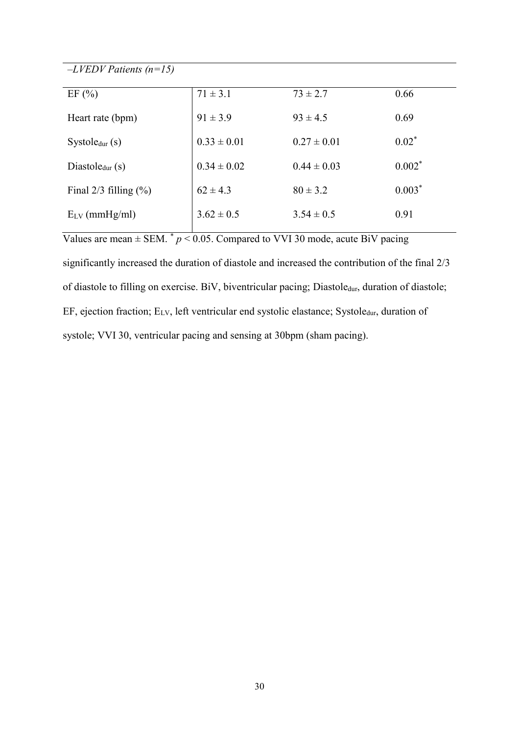*–LVEDV Patients (n=15)* 

| EF(%)                      | $71 \pm 3.1$    | $73 \pm 2.7$    | 0.66     |
|----------------------------|-----------------|-----------------|----------|
| Heart rate (bpm)           | $91 \pm 3.9$    | $93 \pm 4.5$    | 0.69     |
| System(s)                  | $0.33 \pm 0.01$ | $0.27 \pm 0.01$ | $0.02*$  |
| Diastole $_{dur}$ (s)      | $0.34 \pm 0.02$ | $0.44 \pm 0.03$ | $0.002*$ |
| Final $2/3$ filling $(\%)$ | $62 \pm 4.3$    | $80 \pm 3.2$    | $0.003*$ |
| $E_{LV}$ (mmHg/ml)         | $3.62 \pm 0.5$  | $3.54 \pm 0.5$  | 0.91     |
|                            |                 |                 |          |

Values are mean  $\pm$  SEM.  $^*$   $p$  < 0.05. Compared to VVI 30 mode, acute BiV pacing

significantly increased the duration of diastole and increased the contribution of the final 2/3 of diastole to filling on exercise. BiV, biventricular pacing; Diastoledur, duration of diastole; EF, ejection fraction; E<sub>LV</sub>, left ventricular end systolic elastance; Systole<sub>dur</sub>, duration of systole; VVI 30, ventricular pacing and sensing at 30bpm (sham pacing).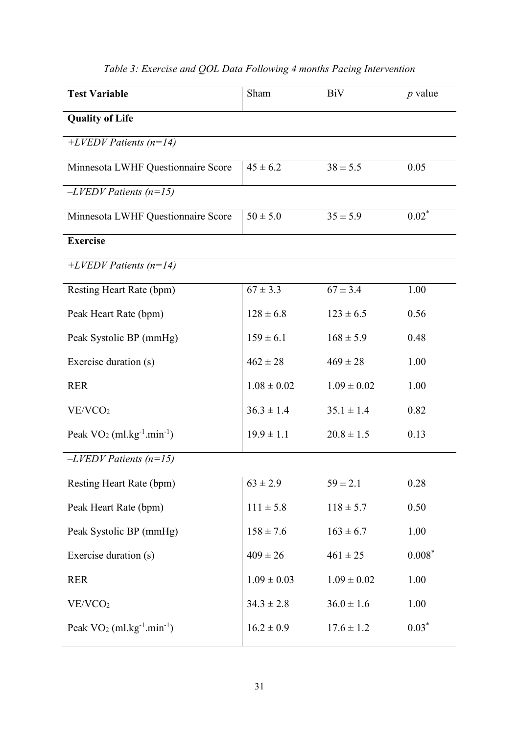| <b>Test Variable</b>                                 | Sham            | <b>BiV</b>      | $p$ value |
|------------------------------------------------------|-----------------|-----------------|-----------|
| <b>Quality of Life</b>                               |                 |                 |           |
| $+LVEDV$ Patients (n=14)                             |                 |                 |           |
| Minnesota LWHF Questionnaire Score                   | $45 \pm 6.2$    | $38 \pm 5.5$    | 0.05      |
| $-LVEDV$ Patients (n=15)                             |                 |                 |           |
| Minnesota LWHF Questionnaire Score                   | $50 \pm 5.0$    | $35 \pm 5.9$    | $0.02*$   |
| <b>Exercise</b>                                      |                 |                 |           |
| $+LVEDV$ Patients (n=14)                             |                 |                 |           |
| Resting Heart Rate (bpm)                             | $67 \pm 3.3$    | $67 \pm 3.4$    | 1.00      |
| Peak Heart Rate (bpm)                                | $128 \pm 6.8$   | $123 \pm 6.5$   | 0.56      |
| Peak Systolic BP (mmHg)                              | $159 \pm 6.1$   | $168 \pm 5.9$   | 0.48      |
| Exercise duration (s)                                | $462 \pm 28$    | $469 \pm 28$    | 1.00      |
| <b>RER</b>                                           | $1.08 \pm 0.02$ | $1.09 \pm 0.02$ | 1.00      |
| VE/VCO <sub>2</sub>                                  | $36.3 \pm 1.4$  | $35.1 \pm 1.4$  | 0.82      |
| Peak $VO2$ (ml.kg <sup>-1</sup> .min <sup>-1</sup> ) | $19.9 \pm 1.1$  | $20.8 \pm 1.5$  | 0.13      |
| $-LVEDV$ Patients (n=15)                             |                 |                 |           |
| Resting Heart Rate (bpm)                             | $63 \pm 2.9$    | $59 \pm 2.1$    | 0.28      |
| Peak Heart Rate (bpm)                                | $111 \pm 5.8$   | $118 \pm 5.7$   | 0.50      |
| Peak Systolic BP (mmHg)                              | $158 \pm 7.6$   | $163 \pm 6.7$   | 1.00      |
| Exercise duration (s)                                | $409 \pm 26$    | $461 \pm 25$    | $0.008*$  |
| <b>RER</b>                                           | $1.09 \pm 0.03$ | $1.09 \pm 0.02$ | 1.00      |
| VE/VCO <sub>2</sub>                                  | $34.3 \pm 2.8$  | $36.0 \pm 1.6$  | 1.00      |
| Peak $VO2$ (ml.kg <sup>-1</sup> .min <sup>-1</sup> ) | $16.2 \pm 0.9$  | $17.6 \pm 1.2$  | $0.03*$   |

# *Table 3: Exercise and QOL Data Following 4 months Pacing Intervention*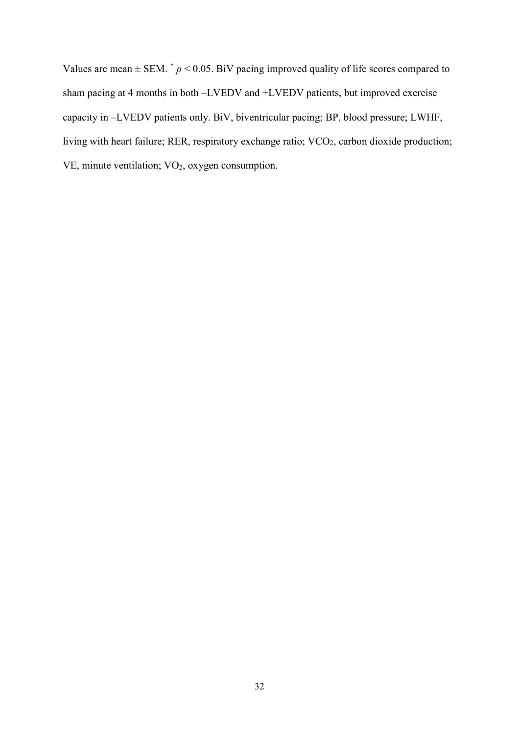Values are mean  $\pm$  SEM.  $^*$   $p$  < 0.05. BiV pacing improved quality of life scores compared to sham pacing at 4 months in both –LVEDV and +LVEDV patients, but improved exercise capacity in –LVEDV patients only. BiV, biventricular pacing; BP, blood pressure; LWHF, living with heart failure; RER, respiratory exchange ratio; VCO<sub>2</sub>, carbon dioxide production; VE, minute ventilation; VO<sub>2</sub>, oxygen consumption.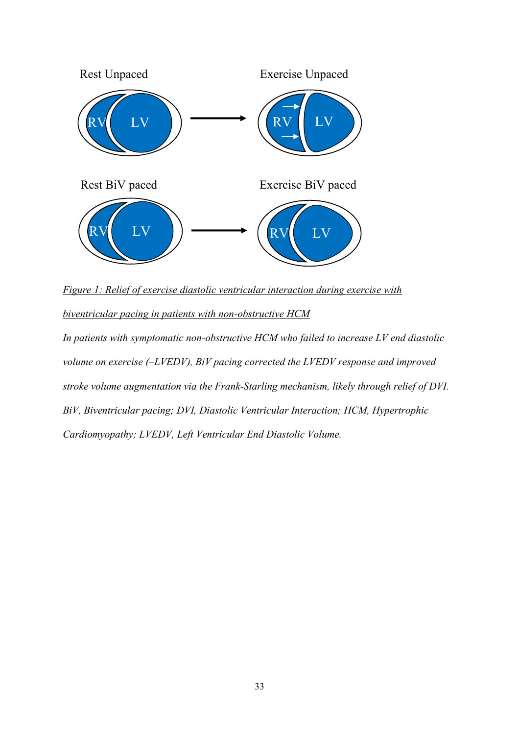

*Figure 1: Relief of exercise diastolic ventricular interaction during exercise with*

*biventricular pacing in patients with non-obstructive HCM*

*In patients with symptomatic non-obstructive HCM who failed to increase LV end diastolic volume on exercise (–LVEDV), BiV pacing corrected the LVEDV response and improved stroke volume augmentation via the Frank-Starling mechanism, likely through relief of DVI. BiV, Biventricular pacing; DVI, Diastolic Ventricular Interaction; HCM, Hypertrophic Cardiomyopathy; LVEDV, Left Ventricular End Diastolic Volume.*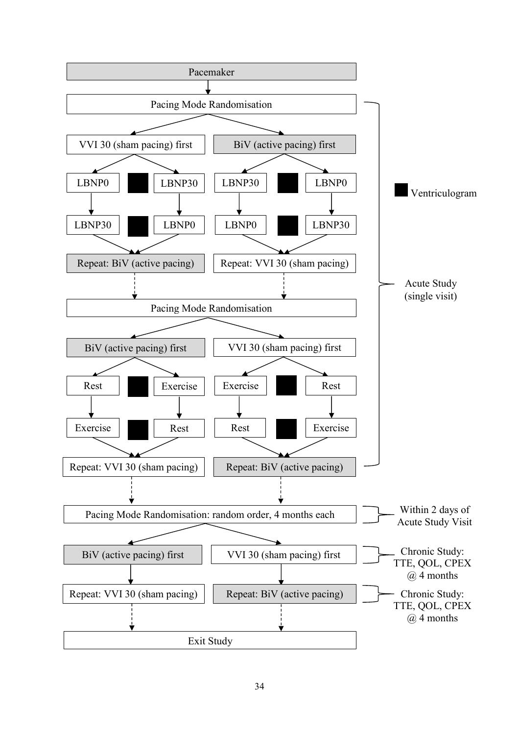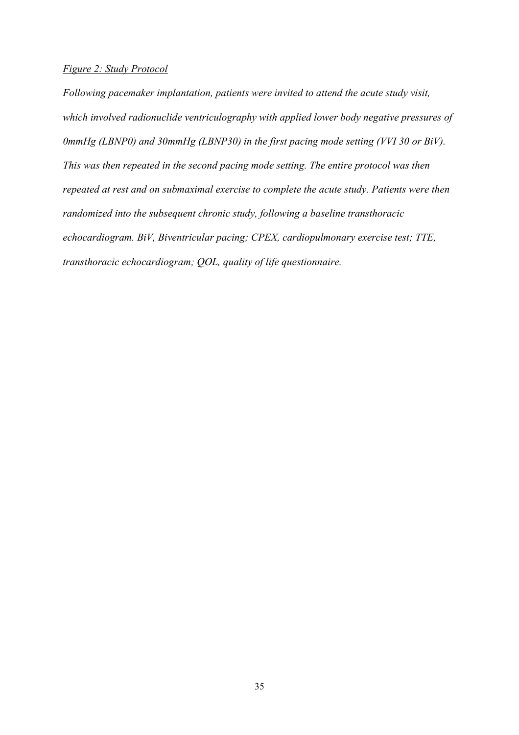## *Figure 2: Study Protocol*

*Following pacemaker implantation, patients were invited to attend the acute study visit, which involved radionuclide ventriculography with applied lower body negative pressures of 0mmHg (LBNP0) and 30mmHg (LBNP30) in the first pacing mode setting (VVI 30 or BiV). This was then repeated in the second pacing mode setting. The entire protocol was then repeated at rest and on submaximal exercise to complete the acute study. Patients were then randomized into the subsequent chronic study, following a baseline transthoracic echocardiogram. BiV, Biventricular pacing; CPEX, cardiopulmonary exercise test; TTE, transthoracic echocardiogram; QOL, quality of life questionnaire.*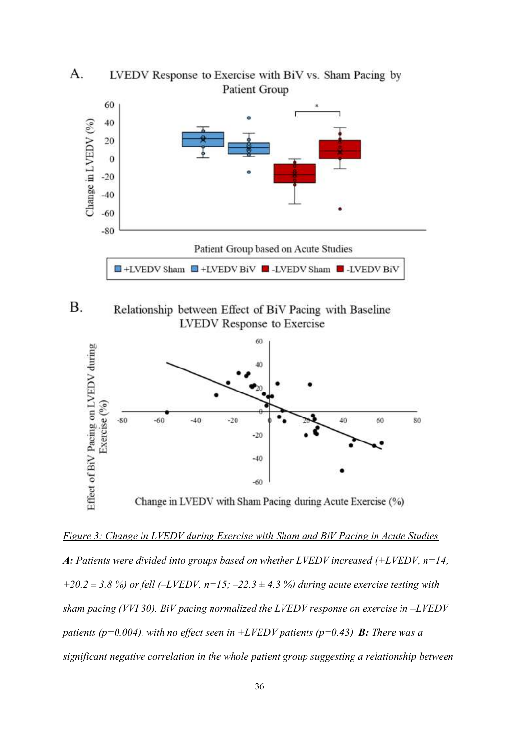

**B.** Relationship between Effect of BiV Pacing with Baseline **LVEDV** Response to Exercise



*Figure 3: Change in LVEDV during Exercise with Sham and BiV Pacing in Acute Studies A: Patients were divided into groups based on whether LVEDV increased (+LVEDV, n=14;*   $+20.2 \pm 3.8$  %) or fell ( $-LVEDV$ ,  $n=15$ ;  $-22.3 \pm 4.3$  %) during acute exercise testing with *sham pacing (VVI 30). BiV pacing normalized the LVEDV response on exercise in -LVEDV patients (p=0.004), with no effect seen in +LVEDV patients (p=0.43). B: There was a significant negative correlation in the whole patient group suggesting a relationship between*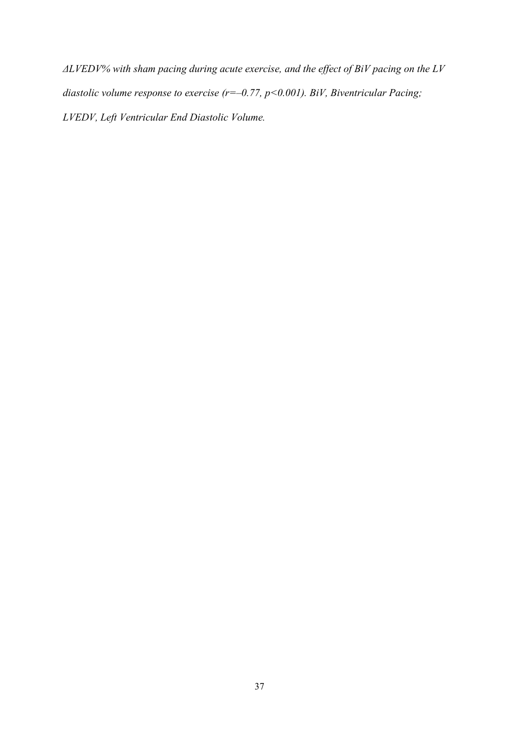*ΔLVEDV% with sham pacing during acute exercise, and the effect of BiV pacing on the LV diastolic volume response to exercise (r=–0.77, p<0.001). BiV, Biventricular Pacing; LVEDV, Left Ventricular End Diastolic Volume.*